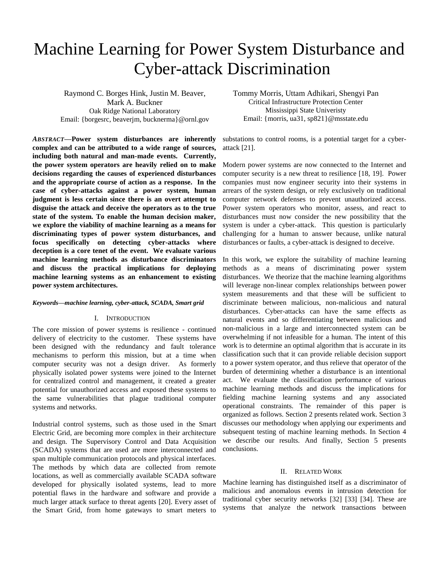# Machine Learning for Power System Disturbance and Cyber-attack Discrimination

Raymond C. Borges Hink, Justin M. Beaver, Mark A. Buckner Oak Ridge National Laboratory Email: {borgesrc, beaverjm, bucknerma}@ornl.gov

*ABSTRACT—***Power system disturbances are inherently complex and can be attributed to a wide range of sources, including both natural and man-made events. Currently, the power system operators are heavily relied on to make decisions regarding the causes of experienced disturbances and the appropriate course of action as a response. In the case of cyber-attacks against a power system, human judgment is less certain since there is an overt attempt to disguise the attack and deceive the operators as to the true state of the system. To enable the human decision maker, we explore the viability of machine learning as a means for discriminating types of power system disturbances, and focus specifically on detecting cyber-attacks where deception is a core tenet of the event. We evaluate various machine learning methods as disturbance discriminators and discuss the practical implications for deploying machine learning systems as an enhancement to existing power system architectures.**

### *Keywords—machine learning, cyber-attack, SCADA, Smart grid*

## I. INTRODUCTION

The core mission of power systems is resilience - continued delivery of electricity to the customer. These systems have been designed with the redundancy and fault tolerance mechanisms to perform this mission, but at a time when computer security was not a design driver. As formerly physically isolated power systems were joined to the Internet for centralized control and management, it created a greater potential for unauthorized access and exposed these systems to the same vulnerabilities that plague traditional computer systems and networks.

Industrial control systems, such as those used in the Smart Electric Grid, are becoming more complex in their architecture and design. The Supervisory Control and Data Acquisition (SCADA) systems that are used are more interconnected and span multiple communication protocols and physical interfaces. The methods by which data are collected from remote locations, as well as commercially available SCADA software developed for physically isolated systems, lead to more potential flaws in the hardware and software and provide a much larger attack surface to threat agents [\[20\].](#page-7-0) Every asset of the Smart Grid, from home gateways to smart meters to Tommy Morris, Uttam Adhikari, Shengyi Pan Critical Infrastructure Protection Center Mississippi State Univeristy Email: {morris, ua31, sp821}@msstate.edu

substations to control rooms, is a potential target for a cyberattack [\[21\].](#page-7-1)

Modern power systems are now connected to the Internet and computer security is a new threat to resilience [18, 19]. Power companies must now engineer security into their systems in arrears of the system design, or rely exclusively on traditional computer network defenses to prevent unauthorized access. Power system operators who monitor, assess, and react to disturbances must now consider the new possibility that the system is under a cyber-attack. This question is particularly challenging for a human to answer because, unlike natural disturbances or faults, a cyber-attack is designed to deceive.

In this work, we explore the suitability of machine learning methods as a means of discriminating power system disturbances. We theorize that the machine learning algorithms will leverage non-linear complex relationships between power system measurements and that these will be sufficient to discriminate between malicious, non-malicious and natural disturbances. Cyber-attacks can have the same effects as natural events and so differentiating between malicious and non-malicious in a large and interconnected system can be overwhelming if not infeasible for a human. The intent of this work is to determine an optimal algorithm that is accurate in its classification such that it can provide reliable decision support to a power system operator, and thus relieve that operator of the burden of determining whether a disturbance is an intentional act. We evaluate the classification performance of various machine learning methods and discuss the implications for fielding machine learning systems and any associated operational constraints. The remainder of this paper is organized as follows. Section 2 presents related work. Section 3 discusses our methodology when applying our experiments and subsequent testing of machine learning methods. In Section 4 we describe our results. And finally, Section 5 presents conclusions.

### II. RELATED WORK

Machine learning has distinguished itself as a discriminator of malicious and anomalous events in intrusion detection for traditional cyber security networks [\[32\]](#page-7-2) [\[33\]](#page-7-3) [\[34\].](#page-7-4) These are systems that analyze the network transactions between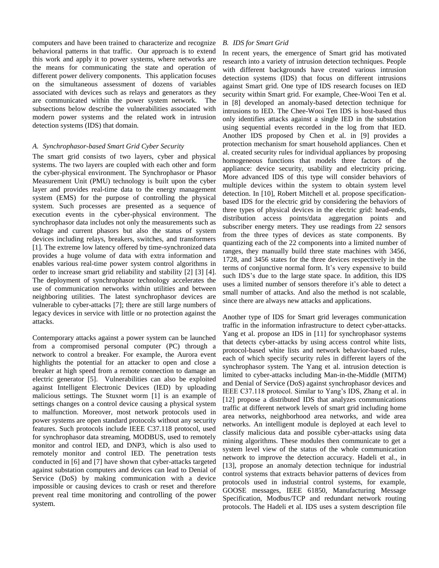computers and have been trained to characterize and recognize behavioral patterns in that traffic. Our approach is to extend this work and apply it to power systems, where networks are the means for communicating the state and operation of different power delivery components. This application focuses on the simultaneous assessment of dozens of variables associated with devices such as relays and generators as they are communicated within the power system network. The subsections below describe the vulnerabilities associated with modern power systems and the related work in intrusion detection systems (IDS) that domain.

## *A. Synchrophasor-based Smart Grid Cyber Security*

The smart grid consists of two layers, cyber and physical systems. The two layers are coupled with each other and form the cyber-physical environment. The Synchrophasor or Phasor Measurement Unit (PMU) technology is built upon the cyber layer and provides real-time data to the energy management system (EMS) for the purpose of controlling the physical system. Such processes are presented as a sequence of execution events in the cyber-physical environment. The synchrophasor data includes not only the measurements such as voltage and current phasors but also the status of system devices including relays, breakers, switches, and transformers [\[1\].](#page-7-5) The extreme low latency offered by time-synchronized data provides a huge volume of data with extra information and enables various real-time power system control algorithms in order to increase smart grid reliability and stability [\[2\]](#page-7-6) [\[3\]](#page-7-7) [\[4\].](#page-7-8) The deployment of synchrophasor technology accelerates the use of communication networks within utilities and between neighboring utilities. The latest synchrophasor devices are vulnerable to cyber-attacks [\[7\];](#page-7-9) there are still large numbers of legacy devices in service with little or no protection against the attacks.

Contemporary attacks against a power system can be launched from a compromised personal computer (PC) through a network to control a breaker. For example, the Aurora event highlights the potential for an attacker to open and close a breaker at high speed from a remote connection to damage an electric generator [\[5\].](#page-7-10) Vulnerabilities can also be exploited against Intelligent Electronic Devices (IED) by uploading malicious settings. The Stuxnet worm [\[1\]](#page-7-5) is an example of settings changes on a control device causing a physical system to malfunction. Moreover, most network protocols used in power systems are open standard protocols without any security features. Such protocols include IEEE C37.118 protocol, used for synchrophasor data streaming, MODBUS, used to remotely monitor and control IED, and DNP3, which is also used to remotely monitor and control IED. The penetration tests conducted in [\[6\]](#page-7-11) and [\[7\]](#page-7-9) have shown that cyber-attacks targeted against substation computers and devices can lead to Denial of Service (DoS) by making communication with a device impossible or causing devices to crash or reset and therefore prevent real time monitoring and controlling of the power system.

## *B. IDS for Smart Grid*

In recent years, the emergence of Smart grid has motivated research into a variety of intrusion detection techniques. People with different backgrounds have created various intrusion detection systems (IDS) that focus on different intrusions against Smart grid. One type of IDS research focuses on IED security within Smart grid. For example, Chee-Wooi Ten et al. in [\[8\]](#page-7-12) developed an anomaly-based detection technique for intrusions to IED. The Chee-Wooi Ten IDS is host-based thus only identifies attacks against a single IED in the substation using sequential events recorded in the log from that IED. Another IDS proposed by Chen et al. in [\[9\]](#page-7-13) provides a protection mechanism for smart household appliances. Chen et al. created security rules for individual appliances by proposing homogeneous functions that models three factors of the appliance: device security, usability and electricity pricing. More advanced IDS of this type will consider behaviors of multiple devices within the system to obtain system level detection. In [\[10\],](#page-7-14) Robert Mitchell et al. propose specificationbased IDS for the electric grid by considering the behaviors of three types of physical devices in the electric grid: head-ends, distribution access points/data aggregation points and subscriber energy meters. They use readings from 22 sensors from the three types of devices as state components. By quantizing each of the 22 components into a limited number of ranges, they manually build three state machines with 3456, 1728, and 3456 states for the three devices respectively in the terms of conjunctive normal form. It's very expensive to build such IDS's due to the large state space. In addition, this IDS uses a limited number of sensors therefore it's able to detect a small number of attacks. And also the method is not scalable, since there are always new attacks and applications.

Another type of IDS for Smart grid leverages communication traffic in the information infrastructure to detect cyber-attacks. Yang et al. propose an IDS in [\[11\]](#page-7-15) for synchrophasor systems that detects cyber-attacks by using access control white lists, protocol-based white lists and network behavior-based rules, each of which specify security rules in different layers of the synchrophasor system. The Yang et al. intrusion detection is limited to cyber-attacks including Man-in-the-Middle (MITM) and Denial of Service (DoS) against synchrophasor devices and IEEE C37.118 protocol. Similar to Yang's IDS, Zhang et al. in [\[12\]](#page-7-16) propose a distributed IDS that analyzes communications traffic at different network levels of smart grid including home area networks, neighborhood area networks, and wide area networks. An intelligent module is deployed at each level to classify malicious data and possible cyber-attacks using data mining algorithms. These modules then communicate to get a system level view of the status of the whole communication network to improve the detection accuracy. Hadeli et al., in [\[13\],](#page-7-17) propose an anomaly detection technique for industrial control systems that extracts behavior patterns of devices from protocols used in industrial control systems, for example, GOOSE messages, IEEE 61850, Manufacturing Message Specification, Modbus/TCP and redundant network routing protocols. The Hadeli et al. IDS uses a system description file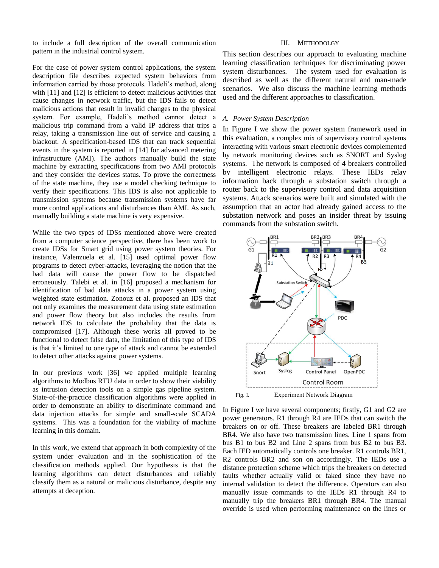to include a full description of the overall communication pattern in the industrial control system.

For the case of power system control applications, the system description file describes expected system behaviors from information carried by those protocols. Hadeli's method, along with [11] and [12] is efficient to detect malicious activities that cause changes in network traffic, but the IDS fails to detect malicious actions that result in invalid changes to the physical system. For example, Hadeli's method cannot detect a malicious trip command from a valid IP address that trips a relay, taking a transmission line out of service and causing a blackout. A specification-based IDS that can track sequential events in the system is reported in [14] for advanced metering infrastructure (AMI). The authors manually build the state machine by extracting specifications from two AMI protocols and they consider the devices status. To prove the correctness of the state machine, they use a model checking technique to verify their specifications. This IDS is also not applicable to transmission systems because transmission systems have far more control applications and disturbances than AMI. As such, manually building a state machine is very expensive.

While the two types of IDSs mentioned above were created from a computer science perspective, there has been work to create IDSs for Smart grid using power system theories. For instance, Valenzuela et al. [15] used optimal power flow programs to detect cyber-attacks, leveraging the notion that the bad data will cause the power flow to be dispatched erroneously. Talebi et al. in [16] proposed a mechanism for identification of bad data attacks in a power system using weighted state estimation. Zonouz et al. proposed an IDS that not only examines the measurement data using state estimation and power flow theory but also includes the results from network IDS to calculate the probability that the data is compromised [17]. Although these works all proved to be functional to detect false data, the limitation of this type of IDS is that it's limited to one type of attack and cannot be extended to detect other attacks against power systems.

In our previous work [36] we applied multiple learning algorithms to Modbus RTU data in order to show their viability as intrusion detection tools on a simple gas pipeline system. State-of-the-practice classification algorithms were applied in order to demonstrate an ability to discriminate command and data injection attacks for simple and small-scale SCADA systems. This was a foundation for the viability of machine learning in this domain.

In this work, we extend that approach in both complexity of the system under evaluation and in the sophistication of the classification methods applied. Our hypothesis is that the learning algorithms can detect disturbances and reliably classify them as a natural or malicious disturbance, despite any attempts at deception.

## III. METHODOLGY

This section describes our approach to evaluating machine learning classification techniques for discriminating power system disturbances. The system used for evaluation is described as well as the different natural and man-made scenarios. We also discuss the machine learning methods used and the different approaches to classification.

## *A. Power System Description*

In Figure I we show the power system framework used in this evaluation, a complex mix of supervisory control systems interacting with various smart electronic devices complemented by network monitoring devices such as SNORT and Syslog systems. The network is composed of 4 breakers controlled by intelligent electronic relays. These IEDs relay information back through a substation switch through a router back to the supervisory control and data acquisition systems. Attack scenarios were built and simulated with the assumption that an actor had already gained access to the substation network and poses an insider threat by issuing commands from the substation switch.



In Figure I we have several components; firstly, G1 and G2 are power generators. R1 through R4 are IEDs that can switch the breakers on or off. These breakers are labeled BR1 through BR4. We also have two transmission lines. Line 1 spans from bus B1 to bus B2 and Line 2 spans from bus B2 to bus B3. Each IED automatically controls one breaker. R1 controls BR1, R2 controls BR2 and son on accordingly. The IEDs use a distance protection scheme which trips the breakers on detected faults whether actually valid or faked since they have no internal validation to detect the difference. Operators can also manually issue commands to the IEDs R1 through R4 to manually trip the breakers BR1 through BR4. The manual override is used when performing maintenance on the lines or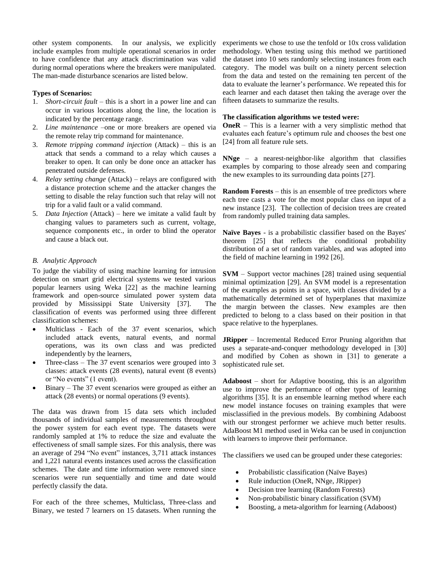other system components. In our analysis, we explicitly include examples from multiple operational scenarios in order to have confidence that any attack discrimination was valid during normal operations where the breakers were manipulated. The man-made disturbance scenarios are listed below.

## **Types of Scenarios:**

- 1. *Short-circuit fault* this is a short in a power line and can occur in various locations along the line, the location is indicated by the percentage range.
- 2. *Line maintenance* –one or more breakers are opened via the remote relay trip command for maintenance.
- 3. *Remote tripping command injection* (Attack) this is an attack that sends a command to a relay which causes a breaker to open. It can only be done once an attacker has penetrated outside defenses.
- 4. *Relay setting change* (Attack) relays are configured with a distance protection scheme and the attacker changes the setting to disable the relay function such that relay will not trip for a valid fault or a valid command.
- 5. *Data Injection* (Attack) here we imitate a valid fault by changing values to parameters such as current, voltage, sequence components etc., in order to blind the operator and cause a black out.

## *B. Analytic Approach*

To judge the viability of using machine learning for intrusion detection on smart grid electrical systems we tested various popular learners using Weka [\[22\]](#page-7-18) as the machine learning framework and open-source simulated power system data provided by Mississippi State University [\[37\].](#page-7-19) The classification of events was performed using three different classification schemes:

- Multiclass Each of the 37 event scenarios, which included attack events, natural events, and normal operations, was its own class and was predicted independently by the learners,
- Three-class The 37 event scenarios were grouped into 3 classes: attack events (28 events), natural event (8 events) or "No events" (1 event).
- Binary The 37 event scenarios were grouped as either an attack (28 events) or normal operations (9 events).

The data was drawn from 15 data sets which included thousands of individual samples of measurements throughout the power system for each event type. The datasets were randomly sampled at 1% to reduce the size and evaluate the effectiveness of small sample sizes. For this analysis, there was an average of 294 "No event" instances, 3,711 attack instances and 1,221 natural events instances used across the classification schemes. The date and time information were removed since scenarios were run sequentially and time and date would perfectly classify the data.

For each of the three schemes, Multiclass, Three-class and Binary, we tested 7 learners on 15 datasets. When running the experiments we chose to use the tenfold or 10x cross validation methodology. When testing using this method we partitioned the dataset into 10 sets randomly selecting instances from each category. The model was built on a ninety percent selection from the data and tested on the remaining ten percent of the data to evaluate the learner's performance. We repeated this for each learner and each dataset then taking the average over the fifteen datasets to summarize the results.

## **The classification algorithms we tested were:**

**OneR** – This is a learner with a very simplistic method that evaluates each feature's optimum rule and chooses the best one [\[24\]](#page-7-20) from all feature rule sets.

**NNge** – a nearest-neighbor-like algorithm that classifies examples by comparing to those already seen and comparing the new examples to its surrounding data points [\[27\].](#page-7-21)

**Random Forests** – this is an ensemble of tree predictors where each tree casts a vote for the most popular class on input of a new instance [\[23\].](#page-7-22) The collection of decision trees are created from randomly pulled training data samples.

**Naïve Bayes** - is a probabilistic classifier based on the Bayes' theorem [\[25\]](#page-7-23) that reflects the conditional probability distribution of a set of random variables, and was adopted into the field of machine learning in 1992 [\[26\].](#page-7-24)

**SVM** – Support vector machines [\[28\]](#page-7-25) trained using sequential minimal optimization [\[29\].](#page-7-26) An SVM model is a representation of the examples as points in a space, with classes divided by a mathematically determined set of hyperplanes that maximize the margin between the classes. New examples are then predicted to belong to a class based on their position in that space relative to the hyperplanes.

**JRipper** – Incremental Reduced Error Pruning algorithm that uses a separate-and-conquer methodology developed in [\[30\]](#page-7-27) and modified by Cohen as shown in [\[31\]](#page-7-28) to generate a sophisticated rule set.

**Adaboost** – short for Adaptive boosting, this is an algorithm use to improve the performance of other types of learning algorithms [\[35\].](#page-7-29) It is an ensemble learning method where each new model instance focuses on training examples that were misclassified in the previous models. By combining Adaboost with our strongest performer we achieve much better results. AdaBoost M1 method used in Weka can be used in conjunction with learners to improve their performance.

The classifiers we used can be grouped under these categories:

- Probabilistic classification (Naïve Bayes)
- Rule induction (OneR, NNge, JRipper)
- Decision tree learning (Random Forests)
- Non-probabilistic binary classification (SVM)
- Boosting, a meta-algorithm for learning (Adaboost)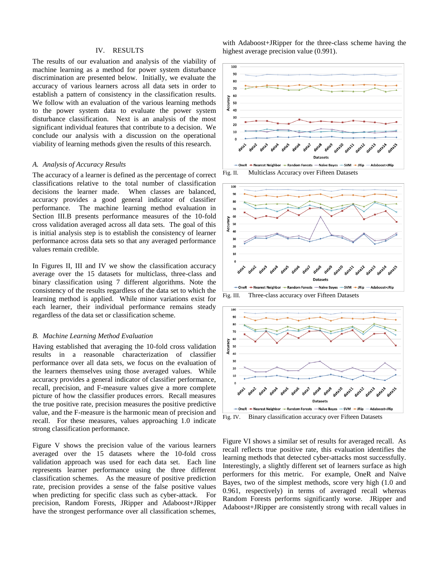#### IV. RESULTS

The results of our evaluation and analysis of the viability of machine learning as a method for power system disturbance discrimination are presented below. Initially, we evaluate the accuracy of various learners across all data sets in order to establish a pattern of consistency in the classification results. We follow with an evaluation of the various learning methods to the power system data to evaluate the power system disturbance classification. Next is an analysis of the most significant individual features that contribute to a decision. We conclude our analysis with a discussion on the operational viability of learning methods given the results of this research.

## *A. Analysis of Accuracy Results*

The accuracy of a learner is defined as the percentage of correct classifications relative to the total number of classification decisions the learner made. When classes are balanced, accuracy provides a good general indicator of classifier performance. The machine learning method evaluation in Section III.B presents performance measures of the 10-fold cross validation averaged across all data sets. The goal of this is initial analysis step is to establish the consistency of learner performance across data sets so that any averaged performance values remain credible.

In Figures II, III and IV we show the classification accuracy average over the 15 datasets for multiclass, three-class and binary classification using 7 different algorithms. Note the consistency of the results regardless of the data set to which the learning method is applied. While minor variations exist for each learner, their individual performance remains steady regardless of the data set or classification scheme.

## *B. Machine Learning Method Evaluation*

Having established that averaging the 10-fold cross validation results in a reasonable characterization of classifier performance over all data sets, we focus on the evaluation of the learners themselves using those averaged values. While accuracy provides a general indicator of classifier performance, recall, precision, and F-measure values give a more complete picture of how the classifier produces errors. Recall measures the true positive rate, precision measures the positive predictive value, and the F-measure is the harmonic mean of precision and recall. For these measures, values approaching 1.0 indicate strong classification performance.

Figure V shows the precision value of the various learners averaged over the 15 datasets where the 10-fold cross validation approach was used for each data set. Each line represents learner performance using the three different classification schemes. As the measure of positive prediction rate, precision provides a sense of the false positive values when predicting for specific class such as cyber-attack. For precision, Random Forests, JRipper and Adaboost+JRipper have the strongest performance over all classification schemes,

with Adaboost+JRipper for the three-class scheme having the highest average precision value (0.991).







Fig. III. Three-class accuracy over Fifteen Datasets



Fig. IV. Binary classification accuracy over Fifteen Datasets

Figure VI shows a similar set of results for averaged recall. As recall reflects true positive rate, this evaluation identifies the learning methods that detected cyber-attacks most successfully. Interestingly, a slightly different set of learners surface as high performers for this metric. For example, OneR and Naïve Bayes, two of the simplest methods, score very high (1.0 and 0.961, respectively) in terms of averaged recall whereas Random Forests performs significantly worse. JRipper and Adaboost+JRipper are consistently strong with recall values in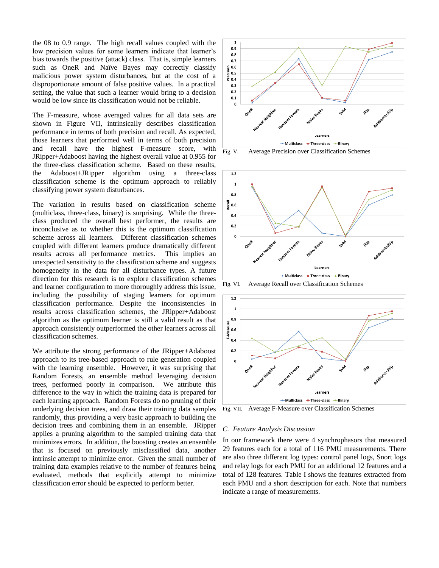the 08 to 0.9 range. The high recall values coupled with the low precision values for some learners indicate that learner's bias towards the positive (attack) class. That is, simple learners such as OneR and Naïve Bayes may correctly classify malicious power system disturbances, but at the cost of a disproportionate amount of false positive values. In a practical setting, the value that such a learner would bring to a decision would be low since its classification would not be reliable.

The F-measure, whose averaged values for all data sets are shown in Figure VII, intrinsically describes classification performance in terms of both precision and recall. As expected, those learners that performed well in terms of both precision and recall have the highest F-measure score, with JRipper+Adaboost having the highest overall value at 0.955 for the three-class classification scheme. Based on these results, the Adaboost+JRipper algorithm using a three-class classification scheme is the optimum approach to reliably classifying power system disturbances.

The variation in results based on classification scheme (multiclass, three-class, binary) is surprising. While the threeclass produced the overall best performer, the results are inconclusive as to whether this is the optimum classification scheme across all learners. Different classification schemes coupled with different learners produce dramatically different results across all performance metrics. This implies an unexpected sensitivity to the classification scheme and suggests homogeneity in the data for all disturbance types. A future direction for this research is to explore classification schemes and learner configuration to more thoroughly address this issue, including the possibility of staging learners for optimum classification performance. Despite the inconsistencies in results across classification schemes, the JRipper+Adaboost algorithm as the optimum learner is still a valid result as that approach consistently outperformed the other learners across all classification schemes.

We attribute the strong performance of the JRipper+Adaboost approach to its tree-based approach to rule generation coupled with the learning ensemble. However, it was surprising that Random Forests, an ensemble method leveraging decision trees, performed poorly in comparison. We attribute this difference to the way in which the training data is prepared for each learning approach. Random Forests do no pruning of their underlying decision trees, and draw their training data samples randomly, thus providing a very basic approach to building the decision trees and combining them in an ensemble. JRipper applies a pruning algorithm to the sampled training data that minimizes errors. In addition, the boosting creates an ensemble that is focused on previously misclassified data, another intrinsic attempt to minimize error. Given the small number of training data examples relative to the number of features being evaluated, methods that explicitly attempt to minimize classification error should be expected to perform better.



Fig. V. Average Precision over Classification Schemes



Fig. VI. Average Recall over Classification Schemes



Fig. VII. Average F-Measure over Classification Schemes

## *C. Feature Analysis Discussion*

In our framework there were 4 synchrophasors that measured 29 features each for a total of 116 PMU measurements. There are also three different log types: control panel logs, Snort logs and relay logs for each PMU for an additional 12 features and a total of 128 features. Table I shows the features extracted from each PMU and a short description for each. Note that numbers indicate a range of measurements.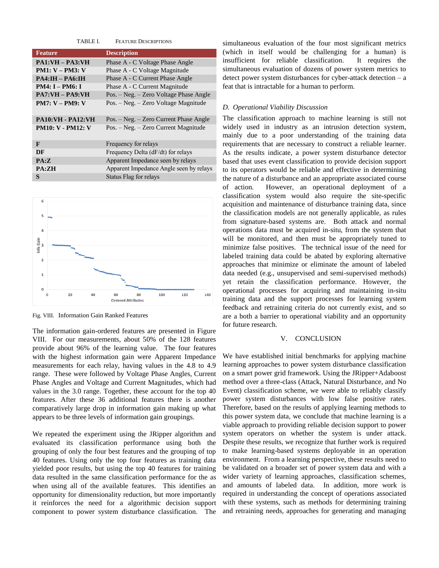| TABLE I.                 | <b>FEATURE DESCRIPTIONS</b>             |
|--------------------------|-----------------------------------------|
| Feature                  | <b>Description</b>                      |
| $PA1:VH - PA3:VH$        | Phase A - C Voltage Phase Angle         |
| $PM1: V - PM3: V$        | Phase A - C Voltage Magnitude           |
| $PA4:IH - PA6:IH$        | Phase A - C Current Phase Angle         |
| <b>PM4: I – PM6: I</b>   | Phase A - C Current Magnitude           |
| $PA7:VH - PA9:VH$        | Pos. - Neg. - Zero Voltage Phase Angle  |
| <b>PM7: V - PM9: V</b>   | Pos. – Neg. – Zero Voltage Magnitude    |
| <b>PA10:VH - PA12:VH</b> | Pos. - Neg. - Zero Current Phase Angle  |
| <b>PM10: V - PM12: V</b> | Pos. - Neg. - Zero Current Magnitude    |
| F                        | Frequency for relays                    |
| DF                       | Frequency Delta (dF/dt) for relays      |
| PA:Z                     | Apparent Impedance seen by relays       |
| <b>PA:ZH</b>             | Apparent Impedance Angle seen by relays |
| S                        | Status Flag for relays                  |



Fig. VIII. Information Gain Ranked Features

The information gain-ordered features are presented in Figure VIII. For our measurements, about 50% of the 128 features provide about 96% of the learning value. The four features with the highest information gain were Apparent Impedance measurements for each relay, having values in the 4.8 to 4.9 range. These were followed by Voltage Phase Angles, Current Phase Angles and Voltage and Current Magnitudes, which had values in the 3.0 range. Together, these account for the top 40 features. After these 36 additional features there is another comparatively large drop in information gain making up what appears to be three levels of information gain groupings.

We repeated the experiment using the JRipper algorithm and evaluated its classification performance using both the grouping of only the four best features and the grouping of top 40 features. Using only the top four features as training data yielded poor results, but using the top 40 features for training data resulted in the same classification performance for the as when using all of the available features. This identifies an opportunity for dimensionality reduction, but more importantly it reinforces the need for a algorithmic decision support component to power system disturbance classification. The simultaneous evaluation of the four most significant metrics (which in itself would be challenging for a human) is insufficient for reliable classification. It requires the simultaneous evaluation of dozens of power system metrics to detect power system disturbances for cyber-attack detection – a feat that is intractable for a human to perform.

## *D. Operational Viability Discussion*

The classification approach to machine learning is still not widely used in industry as an intrusion detection system, mainly due to a poor understanding of the training data requirements that are necessary to construct a reliable learner. As the results indicate, a power system disturbance detector based that uses event classification to provide decision support to its operators would be reliable and effective in determining the nature of a disturbance and an appropriate associated course of action. However, an operational deployment of a classification system would also require the site-specific acquisition and maintenance of disturbance training data, since the classification models are not generally applicable, as rules from signature-based systems are. Both attack and normal operations data must be acquired in-situ, from the system that will be monitored, and then must be appropriately tuned to minimize false positives. The technical issue of the need for labeled training data could be abated by exploring alternative approaches that minimize or eliminate the amount of labeled data needed (e.g., unsupervised and semi-supervised methods) yet retain the classification performance. However, the operational processes for acquiring and maintaining in-situ training data and the support processes for learning system feedback and retraining criteria do not currently exist, and so are a both a barrier to operational viability and an opportunity for future research.

### V. CONCLUSION

We have established initial benchmarks for applying machine learning approaches to power system disturbance classification on a smart power grid framework. Using the JRipper+Adaboost method over a three-class (Attack, Natural Disturbance, and No Event) classification scheme, we were able to reliably classify power system disturbances with low false positive rates. Therefore, based on the results of applying learning methods to this power system data, we conclude that machine learning is a viable approach to providing reliable decision support to power system operators on whether the system is under attack. Despite these results, we recognize that further work is required to make learning-based systems deployable in an operation environment. From a learning perspective, these results need to be validated on a broader set of power system data and with a wider variety of learning approaches, classification schemes, and amounts of labeled data. In addition, more work is required in understanding the concept of operations associated with these systems, such as methods for determining training and retraining needs, approaches for generating and managing